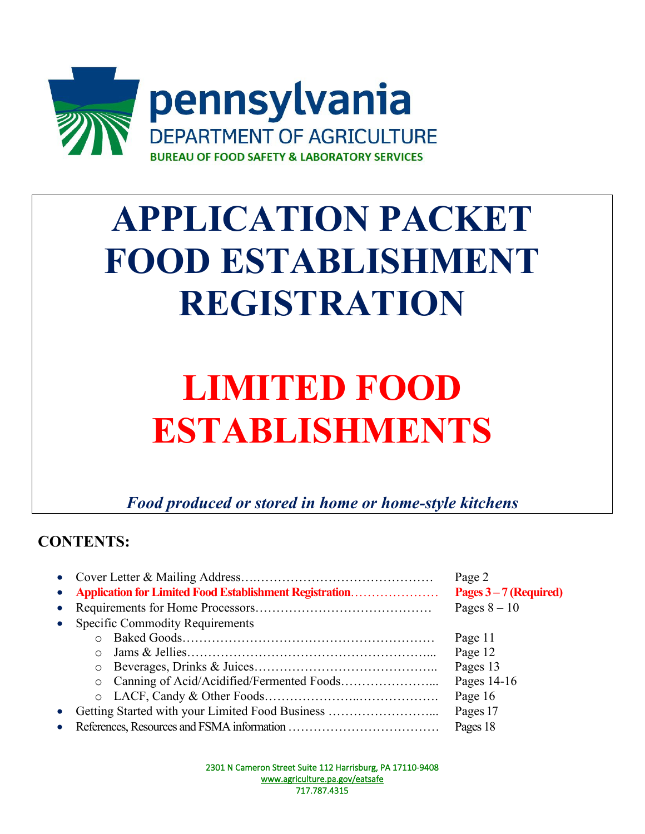

# **APPLICATION PACKET FOOD ESTABLISHMENT REGISTRATION**

# **LIMITED FOOD ESTABLISHMENTS**

*Food produced or stored in home or home-style kitchens* 

# **CONTENTS:**

|           |                                                         | Page 2                 |  |  |  |
|-----------|---------------------------------------------------------|------------------------|--|--|--|
|           | Application for Limited Food Establishment Registration | Pages $3-7$ (Required) |  |  |  |
| $\bullet$ |                                                         | Pages $8-10$           |  |  |  |
| $\bullet$ | <b>Specific Commodity Requirements</b>                  |                        |  |  |  |
|           |                                                         | Page 11                |  |  |  |
|           | ∩                                                       | Page 12                |  |  |  |
|           | $\circ$                                                 | Pages 13               |  |  |  |
|           | $\circ$                                                 | Pages 14-16            |  |  |  |
|           | $\circ$                                                 | Page 16                |  |  |  |
|           | Getting Started with your Limited Food Business         | Pages 17               |  |  |  |
|           | Pages 18                                                |                        |  |  |  |

2301 N Cameron Street Suite 112 Harrisburg, PA 17110-9408 [www.agriculture.pa.gov/eatsafe](http://www.agriculture.pa.gov/eatsafe)  717.787.4315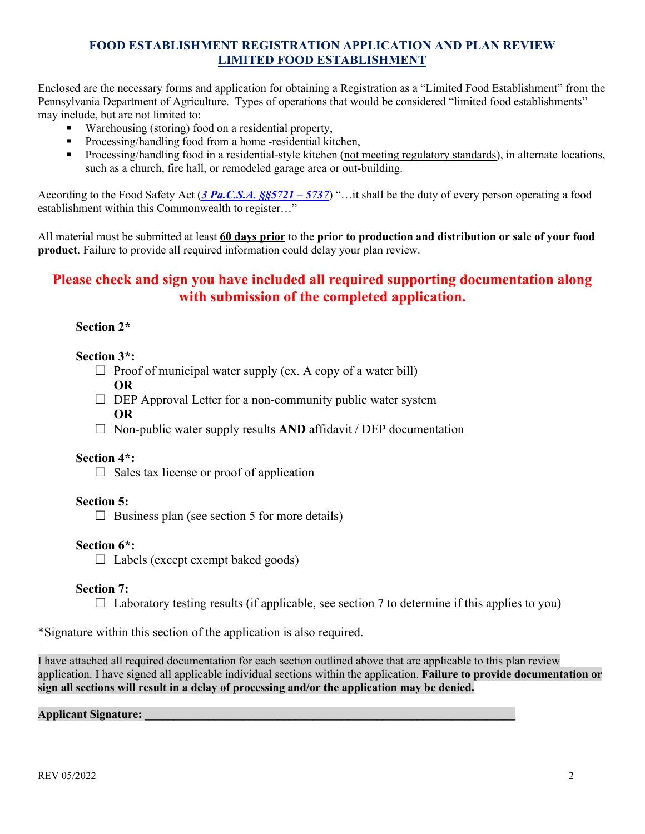Enclosed are the necessary forms and application for obtaining a Registration as a "Limited Food Establishment" from the Pennsylvania Department of Agriculture. Types of operations that would be considered "limited food establishments" may include, but are not limited to:

- **Warehousing (storing) food on a residential property,**
- **Processing/handling food from a home -residential kitchen.**
- Processing/handling food in a residential-style kitchen (not meeting regulatory standards), in alternate locations, such as a church, fire hall, or remodeled garage area or out-building.

According to the Food Safety Act (*[3 Pa.C.S.A. §§5721 – 5737](https://govt.westlaw.com/pac/Browse/Home/Pennsylvania/UnofficialPurdonsPennsylvaniaStatutes?guid=N0BB3FA70347411E0B106900B3AAF131A&originationContext=documenttoc&transitionType=Default&contextData=(sc.Default))*) "…it shall be the duty of every person operating a food establishment within this Commonwealth to register…"

All material must be submitted at least **60 days prior** to the **prior to production and distribution or sale of your food product**. Failure to provide all required information could delay your plan review.

# **Please check and sign you have included all required supporting documentation along with submission of the completed application.**

#### **Section 2\***

#### **Section 3\*:**

- $\Box$  Proof of municipal water supply (ex. A copy of a water bill) **OR**
- $\Box$  DEP Approval Letter for a non-community public water system **OR**
- $\Box$  Non-public water supply results **AND** affidavit / DEP documentation

#### **Section 4\*:**

 $\Box$  Sales tax license or proof of application

## **Section 5:**

 $\Box$  Business plan (see section 5 for more details)

## **Section 6\*:**

 $\Box$  Labels (except exempt baked goods)

## **Section 7:**

 $\Box$  Laboratory testing results (if applicable, see section 7 to determine if this applies to you)

\*Signature within this section of the application is also required.

I have attached all required documentation for each section outlined above that are applicable to this plan review application. I have signed all applicable individual sections within the application. **Failure to provide documentation or sign all sections will result in a delay of processing and/or the application may be denied.**

#### **Applicant Signature: \_\_\_\_\_\_\_\_\_\_\_\_\_\_\_\_\_\_\_\_\_\_\_\_\_\_\_\_\_\_\_\_\_\_\_\_\_\_\_\_\_\_\_\_\_\_\_\_\_\_\_\_\_\_\_\_\_\_\_\_\_\_\_\_**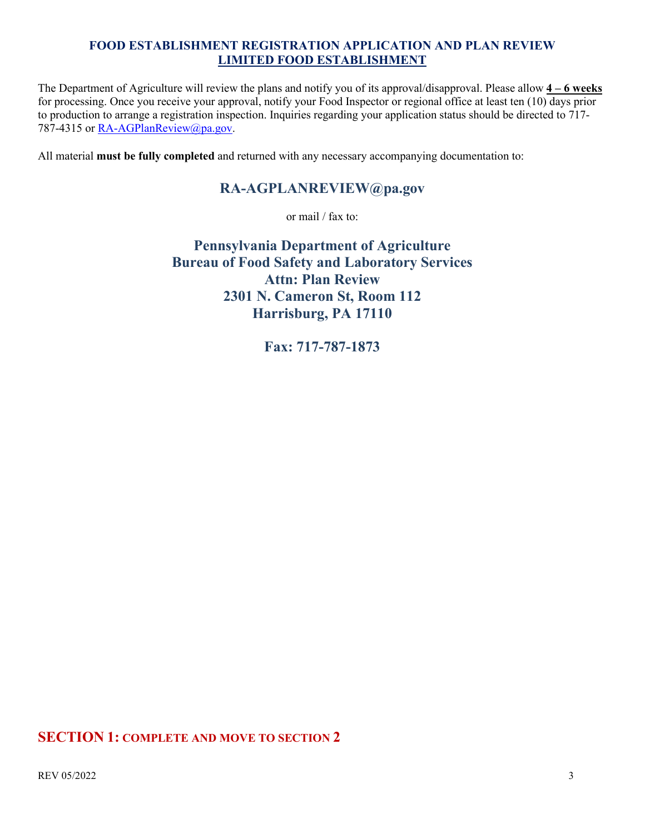The Department of Agriculture will review the plans and notify you of its approval/disapproval. Please allow **4 – 6 weeks** for processing. Once you receive your approval, notify your Food Inspector or regional office at least ten (10) days prior to production to arrange a registration inspection. Inquiries regarding your application status should be directed to 717- 787-4315 or [RA-AGPlanReview@pa.gov.](mailto:RA-AGPlanReview@pa.gov)

All material **must be fully completed** and returned with any necessary accompanying documentation to:

# **RA-AGPLANREVIEW@pa.gov**

or mail / fax to:

**Pennsylvania Department of Agriculture Bureau of Food Safety and Laboratory Services Attn: Plan Review 2301 N. Cameron St, Room 112 Harrisburg, PA 17110**

**Fax: 717-787-1873**

# **SECTION 1: COMPLETE AND MOVE TO SECTION 2**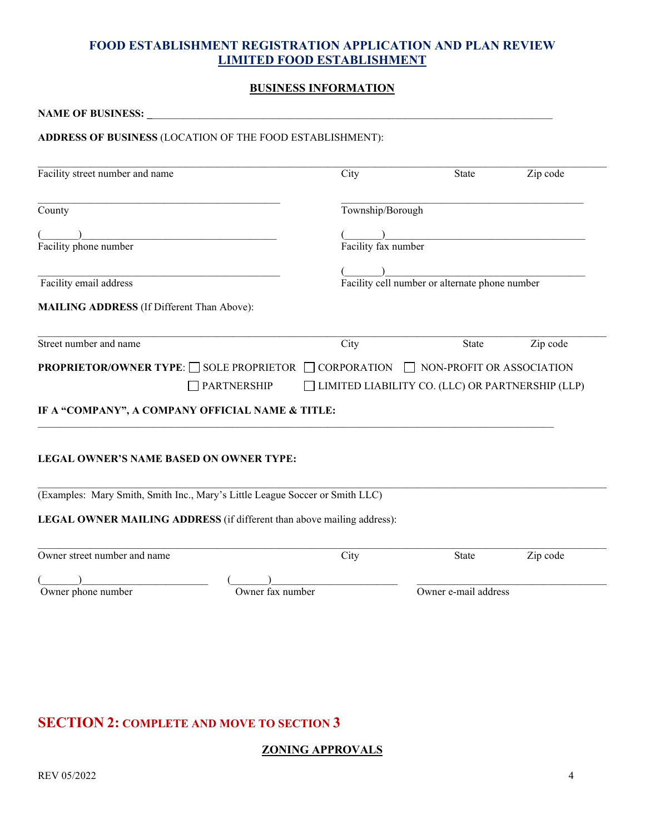#### **BUSINESS INFORMATION**

| <b>NAME OF BUSINESS: __</b>                                                                        |                                                  |                      |          |
|----------------------------------------------------------------------------------------------------|--------------------------------------------------|----------------------|----------|
| ADDRESS OF BUSINESS (LOCATION OF THE FOOD ESTABLISHMENT):                                          |                                                  |                      |          |
| Facility street number and name                                                                    | City                                             | State                | Zip code |
| County                                                                                             | Township/Borough                                 |                      |          |
| Facility phone number                                                                              | Facility fax number                              |                      |          |
| Facility cell number or alternate phone number<br>Facility email address                           |                                                  |                      |          |
| <b>MAILING ADDRESS</b> (If Different Than Above):                                                  |                                                  |                      |          |
| Street number and name                                                                             | City                                             | State                | Zip code |
| <b>PROPRIETOR/OWNER TYPE:</b> SOLE PROPRIETOR                                                      | CORPORATION □ NON-PROFIT OR ASSOCIATION          |                      |          |
| PARTNERSHIP                                                                                        | LIMITED LIABILITY CO. (LLC) OR PARTNERSHIP (LLP) |                      |          |
| IF A "COMPANY", A COMPANY OFFICIAL NAME & TITLE:<br><b>LEGAL OWNER'S NAME BASED ON OWNER TYPE:</b> |                                                  |                      |          |
|                                                                                                    |                                                  |                      |          |
| (Examples: Mary Smith, Smith Inc., Mary's Little League Soccer or Smith LLC)                       |                                                  |                      |          |
| LEGAL OWNER MAILING ADDRESS (if different than above mailing address):                             |                                                  |                      |          |
| Owner street number and name                                                                       | City                                             | State                | Zip code |
| Owner phone number                                                                                 | Owner fax number                                 | Owner e-mail address |          |
|                                                                                                    |                                                  |                      |          |
|                                                                                                    |                                                  |                      |          |

# **SECTION 2: COMPLETE AND MOVE TO SECTION 3**

## **ZONING APPROVALS**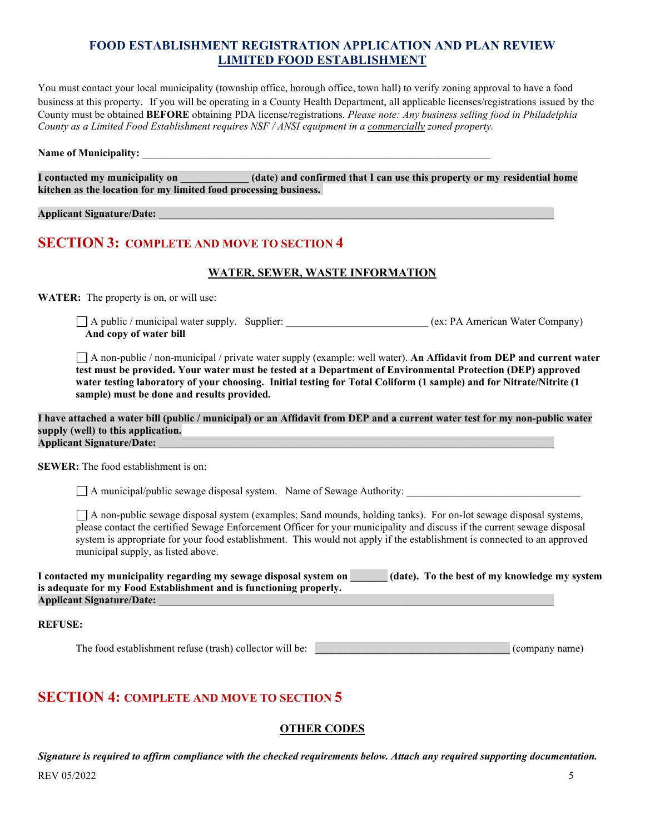You must contact your local municipality (township office, borough office, town hall) to verify zoning approval to have a food business at this property. If you will be operating in a County Health Department, all applicable licenses/registrations issued by the County must be obtained **BEFORE** obtaining PDA license/registrations. *Please note: Any business selling food in Philadelphia County as a Limited Food Establishment requires NSF / ANSI equipment in a commercially zoned property.*

#### Name of Municipality:

**I contacted my municipality on \_\_\_\_\_\_\_\_\_\_\_\_\_ (date) and confirmed that I can use this property or my residential home kitchen as the location for my limited food processing business.** 

#### **Applicant Signature/Date:** \_\_\_\_\_\_\_\_\_\_\_\_\_\_\_\_\_\_\_\_\_\_\_\_\_\_\_\_\_\_\_\_\_\_\_\_\_\_\_\_\_\_\_\_\_\_\_\_\_\_\_\_\_\_\_\_\_\_\_\_\_\_\_\_\_\_\_\_\_\_\_\_\_\_\_

## **SECTION 3: COMPLETE AND MOVE TO SECTION 4**

#### **WATER, SEWER, WASTE INFORMATION**

**WATER:** The property is on, or will use:

A public / municipal water supply. Supplier:  $\Box$  A public / municipal water supply. Supplier:  $\Box$  (ex: PA American Water Company) **And copy of water bill**

A non-public / non-municipal / private water supply (example: well water). **An Affidavit from DEP and current water test must be provided. Your water must be tested at a Department of Environmental Protection (DEP) approved water testing laboratory of your choosing. Initial testing for Total Coliform (1 sample) and for Nitrate/Nitrite (1 sample) must be done and results provided.** 

**I have attached a water bill (public / municipal) or an Affidavit from DEP and a current water test for my non-public water supply (well) to this application. Applicant Signature/Date:** \_\_\_\_\_\_\_\_\_\_\_\_\_\_\_\_\_\_\_\_\_\_\_\_\_\_\_\_\_\_\_\_\_\_\_\_\_\_\_\_\_\_\_\_\_\_\_\_\_\_\_\_\_\_\_\_\_\_\_\_\_\_\_\_\_\_\_\_\_\_\_\_\_\_\_

**SEWER:** The food establishment is on:

 $\Box$  A municipal/public sewage disposal system. Name of Sewage Authority:

A non-public sewage disposal system (examples; Sand mounds, holding tanks). For on-lot sewage disposal systems, please contact the certified Sewage Enforcement Officer for your municipality and discuss if the current sewage disposal system is appropriate for your food establishment. This would not apply if the establishment is connected to an approved municipal supply, as listed above.

| I contacted my municipality regarding my sewage disposal system on | (date). To the best of my knowledge my system |  |
|--------------------------------------------------------------------|-----------------------------------------------|--|
| is adequate for my Food Establishment and is functioning properly. |                                               |  |
| <b>Applicant Signature/Date:</b>                                   |                                               |  |

**REFUSE:** 

The food establishment refuse (trash) collector will be: \_\_\_\_\_\_\_\_\_\_\_\_\_\_\_\_\_\_\_\_\_\_\_\_\_\_\_\_\_\_\_\_\_\_\_\_\_ (company name)

# **SECTION 4: COMPLETE AND MOVE TO SECTION 5**

#### **OTHER CODES**

REV 05/2022 5 *Signature is required to affirm compliance with the checked requirements below. Attach any required supporting documentation.*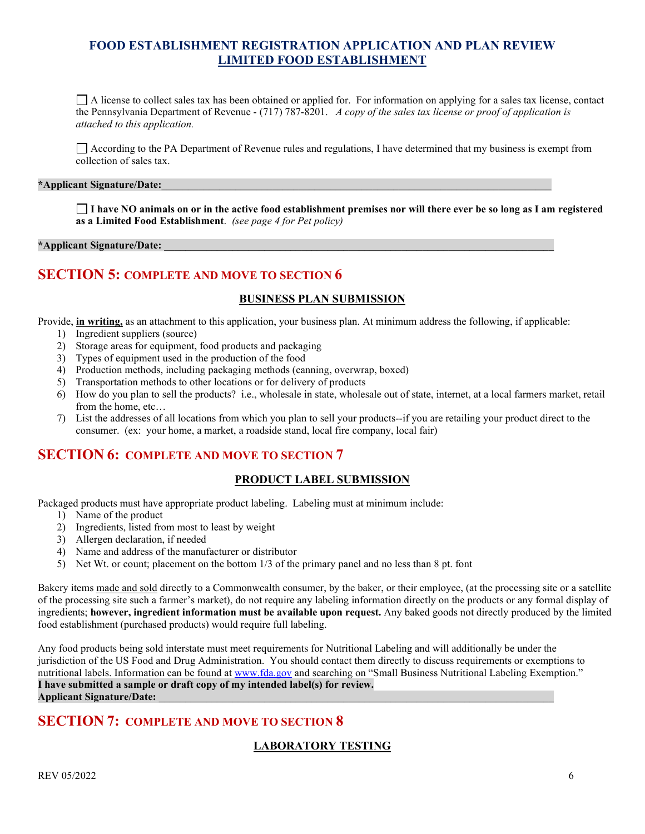$\Box$  A license to collect sales tax has been obtained or applied for. For information on applying for a sales tax license, contact the Pennsylvania Department of Revenue - (717) 787-8201. *A copy of the sales tax license or proof of application is attached to this application.* 

 $\Box$  According to the PA Department of Revenue rules and regulations, I have determined that my business is exempt from collection of sales tax.

#### **\*Applicant Signature/Date:**\_\_\_\_\_\_\_\_\_\_\_\_\_\_\_\_\_\_\_\_\_\_\_\_\_\_\_\_\_\_\_\_\_\_\_\_\_\_\_\_\_\_\_\_\_\_\_\_\_\_\_\_\_\_\_\_\_\_\_\_\_\_\_\_\_\_\_\_\_\_\_\_\_\_

**I have NO animals on or in the active food establishment premises nor will there ever be so long as I am registered as a Limited Food Establishment**. *(see page 4 for Pet policy)*

#### **\*Applicant Signature/Date:** \_\_\_\_\_\_\_\_\_\_\_\_\_\_\_\_\_\_\_\_\_\_\_\_\_\_\_\_\_\_\_\_\_\_\_\_\_\_\_\_\_\_\_\_\_\_\_\_\_\_\_\_\_\_\_\_\_\_\_\_\_\_\_\_\_\_\_\_\_\_\_\_\_\_

## **SECTION 5: COMPLETE AND MOVE TO SECTION 6**

#### **BUSINESS PLAN SUBMISSION**

Provide, **in writing,** as an attachment to this application, your business plan. At minimum address the following, if applicable:

- 1) Ingredient suppliers (source)
- 2) Storage areas for equipment, food products and packaging
- 3) Types of equipment used in the production of the food
- 4) Production methods, including packaging methods (canning, overwrap, boxed)
- 5) Transportation methods to other locations or for delivery of products
- 6) How do you plan to sell the products? i.e., wholesale in state, wholesale out of state, internet, at a local farmers market, retail from the home, etc…
- 7) List the addresses of all locations from which you plan to sell your products--if you are retailing your product direct to the consumer. (ex: your home, a market, a roadside stand, local fire company, local fair)

#### **SECTION 6: COMPLETE AND MOVE TO SECTION 7**

#### **PRODUCT LABEL SUBMISSION**

Packaged products must have appropriate product labeling. Labeling must at minimum include:

- 1) Name of the product
- 2) Ingredients, listed from most to least by weight
- 3) Allergen declaration, if needed
- 4) Name and address of the manufacturer or distributor
- 5) Net Wt. or count; placement on the bottom 1/3 of the primary panel and no less than 8 pt. font

Bakery items made and sold directly to a Commonwealth consumer, by the baker, or their employee, (at the processing site or a satellite of the processing site such a farmer's market), do not require any labeling information directly on the products or any formal display of ingredients; **however, ingredient information must be available upon request.** Any baked goods not directly produced by the limited food establishment (purchased products) would require full labeling.

Any food products being sold interstate must meet requirements for Nutritional Labeling and will additionally be under the jurisdiction of the US Food and Drug Administration. You should contact them directly to discuss requirements or exemptions to nutritional labels. Information can be found a[t www.fda.gov](http://www.fda.gov/) and searching on "Small Business Nutritional Labeling Exemption." **I have submitted a sample or draft copy of my intended label(s) for review. Applicant Signature/Date:** \_\_\_\_\_\_\_\_\_\_\_\_\_\_\_\_\_\_\_\_\_\_\_\_\_\_\_\_\_\_\_\_\_\_\_\_\_\_\_\_\_\_\_\_\_\_\_\_\_\_\_\_\_\_\_\_\_\_\_\_\_\_\_\_\_\_\_\_\_\_\_\_\_\_\_

# **SECTION 7: COMPLETE AND MOVE TO SECTION 8**

#### **LABORATORY TESTING**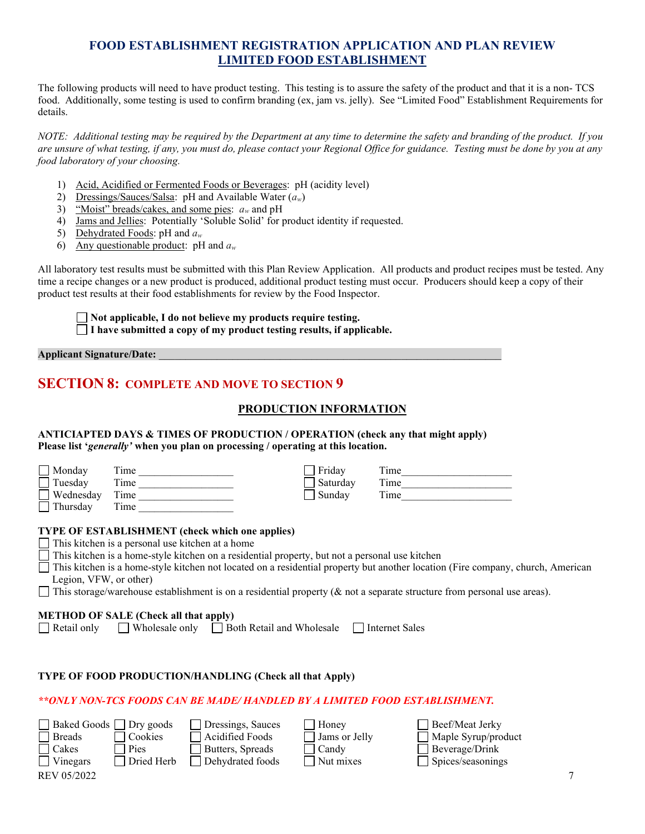The following products will need to have product testing. This testing is to assure the safety of the product and that it is a non- TCS food. Additionally, some testing is used to confirm branding (ex, jam vs. jelly). See "Limited Food" Establishment Requirements for details.

*NOTE: Additional testing may be required by the Department at any time to determine the safety and branding of the product. If you are unsure of what testing, if any, you must do, please contact your Regional Office for guidance. Testing must be done by you at any food laboratory of your choosing.* 

- 1) Acid, Acidified or Fermented Foods or Beverages: pH (acidity level)
- 2) Dressings/Sauces/Salsa: pH and Available Water (*aw*)
- 3) "Moist" breads/cakes, and some pies: *aw* and pH
- 4) Jams and Jellies: Potentially 'Soluble Solid' for product identity if requested.
- 5) Dehydrated Foods: pH and *aw*
- 6) Any questionable product: pH and *aw*

All laboratory test results must be submitted with this Plan Review Application. All products and product recipes must be tested. Any time a recipe changes or a new product is produced, additional product testing must occur. Producers should keep a copy of their product test results at their food establishments for review by the Food Inspector.

**Not applicable, I do not believe my products require testing. I have submitted a copy of my product testing results, if applicable.** 

**Applicant Signature/Date:** *\_\_\_\_\_\_\_\_\_\_\_\_\_\_\_\_\_\_\_\_\_\_\_\_\_\_\_\_\_\_\_\_\_\_\_\_\_\_\_\_\_\_\_\_\_\_\_\_\_\_\_\_\_\_\_\_\_\_\_\_\_\_\_\_\_*

# **SECTION 8: COMPLETE AND MOVE TO SECTION 9**

#### **PRODUCTION INFORMATION**

#### **ANTICIAPTED DAYS & TIMES OF PRODUCTION / OPERATION (check any that might apply) Please list '***generally'* **when you plan on processing / operating at this location.**

| Mondav<br>Tuesday<br>Wednesdav<br>Thursday | Time<br>Time<br>Time<br>Time                                                                                                                                                                                                                                                                                                                                                                                                                                            | Friday<br>Saturday<br>Sunday | Time<br>Time<br>Time |  |
|--------------------------------------------|-------------------------------------------------------------------------------------------------------------------------------------------------------------------------------------------------------------------------------------------------------------------------------------------------------------------------------------------------------------------------------------------------------------------------------------------------------------------------|------------------------------|----------------------|--|
| Legion, VFW, or other)                     | TYPE OF ESTABLISHMENT (check which one applies)<br>This kitchen is a personal use kitchen at a home<br>This kitchen is a home-style kitchen on a residential property, but not a personal use kitchen<br>This kitchen is a home-style kitchen not located on a residential property but another location (Fire company, church, American<br>This storage/warehouse establishment is on a residential property ( $\&$ not a separate structure from personal use areas). |                              |                      |  |
| Retail only                                | <b>METHOD OF SALE (Check all that apply)</b><br>$\Box$ Wholesale only $\Box$ Both Retail and Wholesale                                                                                                                                                                                                                                                                                                                                                                  |                              | Internet Sales       |  |

#### **TYPE OF FOOD PRODUCTION/HANDLING (Check all that Apply)**

#### *\*\*ONLY NON-TCS FOODS CAN BE MADE/ HANDLED BY A LIMITED FOOD ESTABLISHMENT.*

|               | $\Box$ Baked Goods $\Box$ Dry goods | Dressings, Sauces | Honey         | Beef/Meat Jerky            |  |
|---------------|-------------------------------------|-------------------|---------------|----------------------------|--|
| <b>Breads</b> | Cookies                             | Acidified Foods   | Jams or Jelly | $\Box$ Maple Syrup/product |  |
| Cakes         | Pies                                | Butters, Spreads  | Candv         | Beverage/Drink             |  |
| Vinegars      | Dried Herb                          | Dehydrated foods  | Nut mixes     | $\Box$ Spices/seasonings   |  |
| REV 05/2022   |                                     |                   |               |                            |  |

| $\Box$ Dressings, Sau |
|-----------------------|
| Acidified Food        |
| Butters, Spread       |
| $\Box$ Dehydrated for |

| Honey           |
|-----------------|
| ∫ Jams or Jelly |
| ] Candy         |
| l Nut mixes     |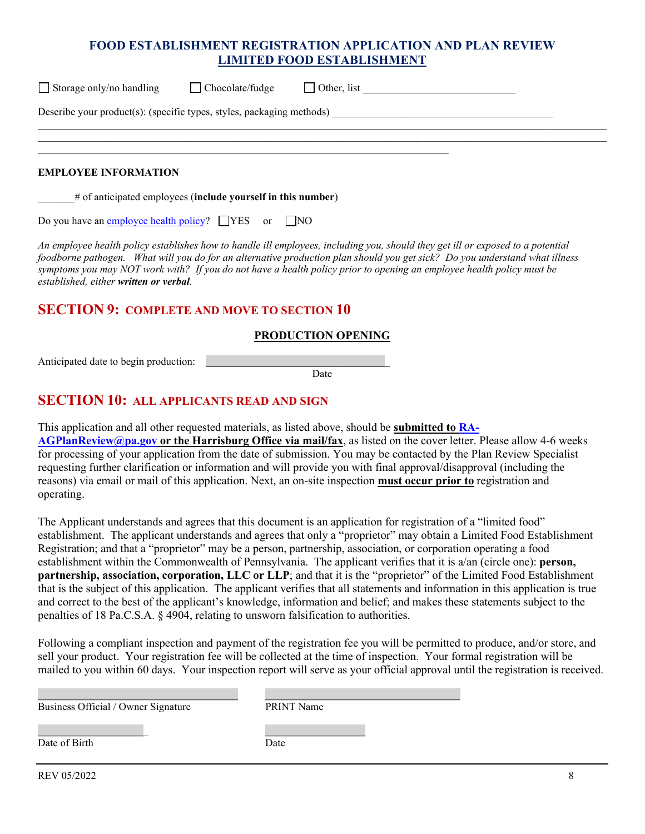| $\Box$ Storage only/no handling                                       | $\Box$ Chocolate/fudge | $\Box$ Other, list |  |  |  |
|-----------------------------------------------------------------------|------------------------|--------------------|--|--|--|
| Describe your product(s): (specific types, styles, packaging methods) |                        |                    |  |  |  |
|                                                                       |                        |                    |  |  |  |
|                                                                       |                        |                    |  |  |  |

#### **EMPLOYEE INFORMATION**

\_\_\_\_\_\_\_# of anticipated employees (**include yourself in this number**)

Do you have a[n employee health policy?](http://www.fda.gov/Food/GuidanceRegulation/RetailFoodProtection/IndustryandRegulatoryAssistanceandTrainingResources/ucm113827.htm)  $\Box$  YES or  $\Box$  NO

*An employee health policy establishes how to handle ill employees, including you, should they get ill or exposed to a potential foodborne pathogen. What will you do for an alternative production plan should you get sick? Do you understand what illness symptoms you may NOT work with? If you do not have a health policy prior to opening an employee health policy must be established, either written or verbal.* 

## **SECTION 9: COMPLETE AND MOVE TO SECTION 10**

#### **PRODUCTION OPENING**

Anticipated date to begin production:

Date

### **SECTION 10: ALL APPLICANTS READ AND SIGN**

This application and all other requested materials, as listed above, should be **submitted to [RA-](mailto:RA-AGPLANREVIEW@pa.gov)[AGPlanReview@pa.gov](mailto:RA-AGPLANREVIEW@pa.gov) or the Harrisburg Office via mail/fax**, as listed on the cover letter. Please allow 4-6 weeks for processing of your application from the date of submission. You may be contacted by the Plan Review Specialist requesting further clarification or information and will provide you with final approval/disapproval (including the reasons) via email or mail of this application. Next, an on-site inspection **must occur prior to** registration and operating.

The Applicant understands and agrees that this document is an application for registration of a "limited food" establishment. The applicant understands and agrees that only a "proprietor" may obtain a Limited Food Establishment Registration; and that a "proprietor" may be a person, partnership, association, or corporation operating a food establishment within the Commonwealth of Pennsylvania. The applicant verifies that it is a/an (circle one): **person, partnership, association, corporation, LLC or LLP**; and that it is the "proprietor" of the Limited Food Establishment that is the subject of this application. The applicant verifies that all statements and information in this application is true and correct to the best of the applicant's knowledge, information and belief; and makes these statements subject to the penalties of 18 Pa.C.S.A. § 4904, relating to unsworn falsification to authorities.

Following a compliant inspection and payment of the registration fee you will be permitted to produce, and/or store, and sell your product. Your registration fee will be collected at the time of inspection. Your formal registration will be mailed to you within 60 days. Your inspection report will serve as your official approval until the registration is received.

Business Official / Owner Signature PRINT Name

 $\mathcal{L}_\mathcal{L} = \{ \mathcal{L}_\mathcal{L} = \{ \mathcal{L}_\mathcal{L} = \{ \mathcal{L}_\mathcal{L} = \{ \mathcal{L}_\mathcal{L} = \{ \mathcal{L}_\mathcal{L} = \{ \mathcal{L}_\mathcal{L} = \{ \mathcal{L}_\mathcal{L} = \{ \mathcal{L}_\mathcal{L} = \{ \mathcal{L}_\mathcal{L} = \{ \mathcal{L}_\mathcal{L} = \{ \mathcal{L}_\mathcal{L} = \{ \mathcal{L}_\mathcal{L} = \{ \mathcal{L}_\mathcal{L} = \{ \mathcal{L}_\mathcal{$ 

Date of Birth Date

 $\mathcal{L}_\mathcal{L}$  , and the contribution of the contribution of the contribution of the contribution of the contribution of the contribution of the contribution of the contribution of the contribution of the contribution of

REV 05/2022 8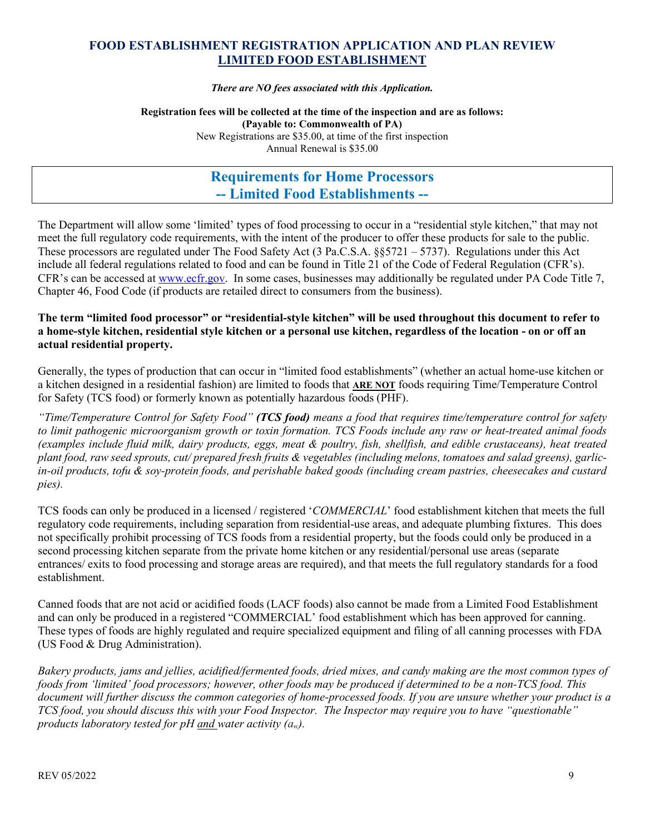*There are NO fees associated with this Application.*

#### **Registration fees will be collected at the time of the inspection and are as follows: (Payable to: Commonwealth of PA)**  New Registrations are \$35.00, at time of the first inspection

Annual Renewal is \$35.00

# **Requirements for Home Processors -- Limited Food Establishments --**

The Department will allow some 'limited' types of food processing to occur in a "residential style kitchen," that may not meet the full regulatory code requirements, with the intent of the producer to offer these products for sale to the public. These processors are regulated under The Food Safety Act (3 Pa.C.S.A. §§5721 – 5737). Regulations under this Act include all federal regulations related to food and can be found in Title 21 of the Code of Federal Regulation (CFR's). CFR's can be accessed at [www.ecfr.gov.](http://www.ecfr.gov/) In some cases, businesses may additionally be regulated under PA Code Title 7, Chapter 46, Food Code (if products are retailed direct to consumers from the business).

#### **The term "limited food processor" or "residential-style kitchen" will be used throughout this document to refer to a home-style kitchen, residential style kitchen or a personal use kitchen, regardless of the location - on or off an actual residential property.**

Generally, the types of production that can occur in "limited food establishments" (whether an actual home-use kitchen or a kitchen designed in a residential fashion) are limited to foods that **ARE NOT** foods requiring Time/Temperature Control for Safety (TCS food) or formerly known as potentially hazardous foods (PHF).

*"Time/Temperature Control for Safety Food" (TCS food) means a food that requires time/temperature control for safety to limit pathogenic microorganism growth or toxin formation. TCS Foods include any raw or heat-treated animal foods (examples include fluid milk, dairy products, eggs, meat & poultry, fish, shellfish, and edible crustaceans), heat treated plant food, raw seed sprouts, cut/ prepared fresh fruits & vegetables (including melons, tomatoes and salad greens), garlicin-oil products, tofu & soy-protein foods, and perishable baked goods (including cream pastries, cheesecakes and custard pies).* 

TCS foods can only be produced in a licensed / registered '*COMMERCIAL*' food establishment kitchen that meets the full regulatory code requirements, including separation from residential-use areas, and adequate plumbing fixtures. This does not specifically prohibit processing of TCS foods from a residential property, but the foods could only be produced in a second processing kitchen separate from the private home kitchen or any residential/personal use areas (separate entrances/ exits to food processing and storage areas are required), and that meets the full regulatory standards for a food establishment.

Canned foods that are not acid or acidified foods (LACF foods) also cannot be made from a Limited Food Establishment and can only be produced in a registered "COMMERCIAL' food establishment which has been approved for canning. These types of foods are highly regulated and require specialized equipment and filing of all canning processes with FDA (US Food & Drug Administration).

*Bakery products, jams and jellies, acidified/fermented foods, dried mixes, and candy making are the most common types of foods from 'limited' food processors; however, other foods may be produced if determined to be a non-TCS food. This document will further discuss the common categories of home-processed foods. If you are unsure whether your product is a TCS food, you should discuss this with your Food Inspector. The Inspector may require you to have "questionable" products laboratory tested for pH and water activity (aw).*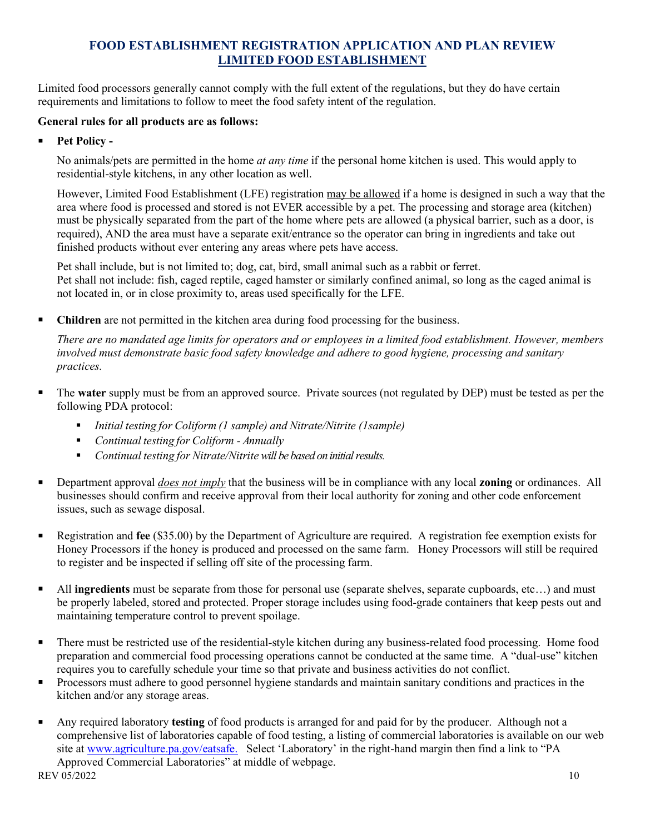Limited food processors generally cannot comply with the full extent of the regulations, but they do have certain requirements and limitations to follow to meet the food safety intent of the regulation.

#### **General rules for all products are as follows:**

**Pet Policy -**

No animals/pets are permitted in the home *at any time* if the personal home kitchen is used. This would apply to residential-style kitchens, in any other location as well.

However, Limited Food Establishment (LFE) registration may be allowed if a home is designed in such a way that the area where food is processed and stored is not EVER accessible by a pet. The processing and storage area (kitchen) must be physically separated from the part of the home where pets are allowed (a physical barrier, such as a door, is required), AND the area must have a separate exit/entrance so the operator can bring in ingredients and take out finished products without ever entering any areas where pets have access.

Pet shall include, but is not limited to; dog, cat, bird, small animal such as a rabbit or ferret. Pet shall not include: fish, caged reptile, caged hamster or similarly confined animal, so long as the caged animal is not located in, or in close proximity to, areas used specifically for the LFE.

**Children** are not permitted in the kitchen area during food processing for the business.

*There are no mandated age limits for operators and or employees in a limited food establishment. However, members involved must demonstrate basic food safety knowledge and adhere to good hygiene, processing and sanitary practices.* 

- The **water** supply must be from an approved source. Private sources (not regulated by DEP) must be tested as per the following PDA protocol:
	- *Initial testing for Coliform (1 sample) and Nitrate/Nitrite (1sample)*
	- *Continual testing for Coliform Annually*
	- *Continual testing for Nitrate/Nitrite will be based on initial results.*
- Department approval *does not imply* that the business will be in compliance with any local **zoning** or ordinances. All businesses should confirm and receive approval from their local authority for zoning and other code enforcement issues, such as sewage disposal.
- Registration and **fee** (\$35.00) by the Department of Agriculture are required. A registration fee exemption exists for Honey Processors if the honey is produced and processed on the same farm. Honey Processors will still be required to register and be inspected if selling off site of the processing farm.
- All **ingredients** must be separate from those for personal use (separate shelves, separate cupboards, etc…) and must be properly labeled, stored and protected. Proper storage includes using food-grade containers that keep pests out and maintaining temperature control to prevent spoilage.
- There must be restricted use of the residential-style kitchen during any business-related food processing. Home food preparation and commercial food processing operations cannot be conducted at the same time. A "dual-use" kitchen requires you to carefully schedule your time so that private and business activities do not conflict.
- **Processors must adhere to good personnel hygiene standards and maintain sanitary conditions and practices in the** kitchen and/or any storage areas.
- REV 05/2022 10 Any required laboratory **testing** of food products is arranged for and paid for by the producer. Although not a comprehensive list of laboratories capable of food testing, a listing of commercial laboratories is available on our web site at [www.agriculture.pa.gov/eatsafe.](http://www.agriculture.pa.gov/eatsafe) Select 'Laboratory' in the right-hand margin then find a link to "PA Approved Commercial Laboratories" at middle of webpage.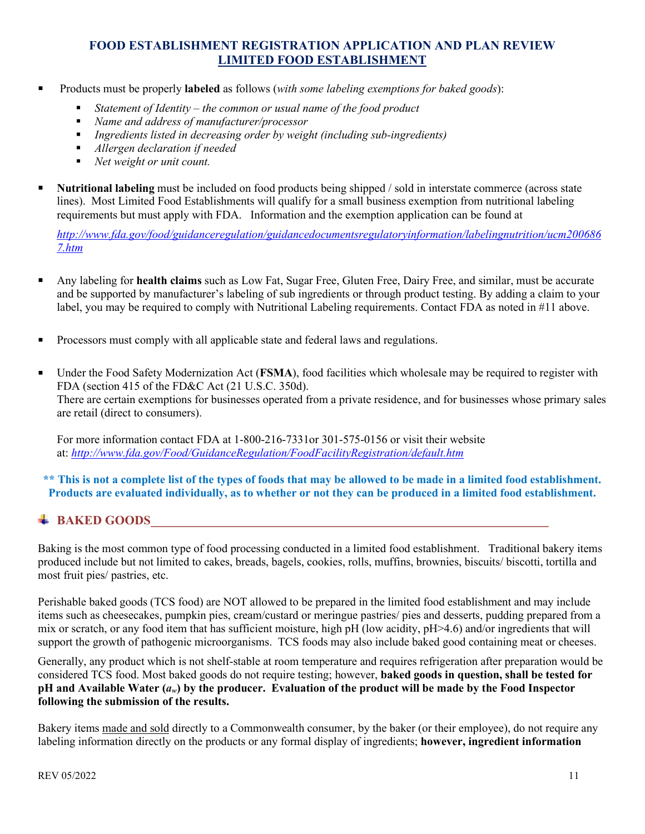- Products must be properly **labeled** as follows (*with some labeling exemptions for baked goods*):
	- *Statement of Identity the common or usual name of the food product*
	- *Name and address of manufacturer/processor*
	- *Ingredients listed in decreasing order by weight (including sub-ingredients)*
	- *Allergen declaration if needed*
	- *Net weight or unit count.*
- **Nutritional labeling** must be included on food products being shipped / sold in interstate commerce (across state lines). Most Limited Food Establishments will qualify for a small business exemption from nutritional labeling requirements but must apply with FDA. Information and the exemption application can be found at

*[http://www.fda.gov/food/guidanceregulation/guidancedocumentsregulatoryinformation/labelingnutrition/ucm200686](http://www.fda.gov/food/guidanceregulation/guidancedocumentsregulatoryinformation/labelingnutrition/ucm2006867.htm) [7.htm](http://www.fda.gov/food/guidanceregulation/guidancedocumentsregulatoryinformation/labelingnutrition/ucm2006867.htm)*

- Any labeling for **health claims** such as Low Fat, Sugar Free, Gluten Free, Dairy Free, and similar, must be accurate and be supported by manufacturer's labeling of sub ingredients or through product testing. By adding a claim to your label, you may be required to comply with Nutritional Labeling requirements. Contact FDA as noted in #11 above.
- **Processors must comply with all applicable state and federal laws and regulations.**
- Under the Food Safety Modernization Act (**FSMA**), food facilities which wholesale may be required to register with FDA (section 415 of the FD&C Act (21 U.S.C. 350d). There are certain exemptions for businesses operated from a private residence, and for businesses whose primary sales are retail (direct to consumers).

For more information contact FDA at 1-800-216-7331or 301-575-0156 or visit their website at: *<http://www.fda.gov/Food/GuidanceRegulation/FoodFacilityRegistration/default.htm>*

**\*\* This is not a complete list of the types of foods that may be allowed to be made in a limited food establishment. Products are evaluated individually, as to whether or not they can be produced in a limited food establishment.**

# $\textcolor{red}{\bigstar}$  BAKED GOODS

Baking is the most common type of food processing conducted in a limited food establishment. Traditional bakery items produced include but not limited to cakes, breads, bagels, cookies, rolls, muffins, brownies, biscuits/ biscotti, tortilla and most fruit pies/ pastries, etc.

Perishable baked goods (TCS food) are NOT allowed to be prepared in the limited food establishment and may include items such as cheesecakes, pumpkin pies, cream/custard or meringue pastries/ pies and desserts, pudding prepared from a mix or scratch, or any food item that has sufficient moisture, high pH (low acidity, pH>4.6) and/or ingredients that will support the growth of pathogenic microorganisms. TCS foods may also include baked good containing meat or cheeses.

Generally, any product which is not shelf-stable at room temperature and requires refrigeration after preparation would be considered TCS food. Most baked goods do not require testing; however, **baked goods in question, shall be tested for pH and Available Water (***aw***) by the producer. Evaluation of the product will be made by the Food Inspector following the submission of the results.** 

Bakery items made and sold directly to a Commonwealth consumer, by the baker (or their employee), do not require any labeling information directly on the products or any formal display of ingredients; **however, ingredient information**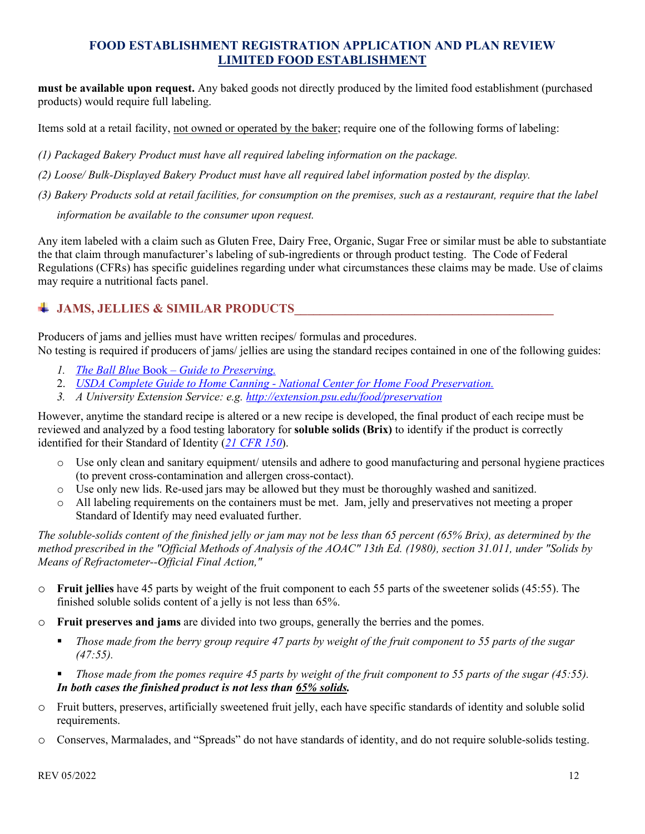**must be available upon request.** Any baked goods not directly produced by the limited food establishment (purchased products) would require full labeling.

Items sold at a retail facility, not owned or operated by the baker; require one of the following forms of labeling:

*(1) Packaged Bakery Product must have all required labeling information on the package.* 

*(2) Loose/ Bulk-Displayed Bakery Product must have all required label information posted by the display.* 

*(3) Bakery Products sold at retail facilities, for consumption on the premises, such as a restaurant, require that the label* 

*information be available to the consumer upon request.* 

Any item labeled with a claim such as Gluten Free, Dairy Free, Organic, Sugar Free or similar must be able to substantiate the that claim through manufacturer's labeling of sub-ingredients or through product testing. The Code of Federal Regulations (CFRs) has specific guidelines regarding under what circumstances these claims may be made. Use of claims may require a nutritional facts panel.

# **JAMS, JELLIES & SIMILAR PRODUCTS\_\_\_\_\_\_\_\_\_\_\_\_\_\_\_\_\_\_\_\_\_\_\_\_\_\_\_\_\_\_\_\_\_\_\_\_\_\_\_\_\_**

Producers of jams and jellies must have written recipes/ formulas and procedures. No testing is required if producers of jams/ jellies are using the standard recipes contained in one of the following guides:

- *1. The Ball Blue* Book *[Guide to Preserving.](http://www.freshpreserving.com/recipes/)*
- 2. *[USDA Complete Guide to Home Canning National Center for Home Food Preservation.](http://nchfp.uga.edu/publications/publications_usda.html)*
- *3. A University Extension Service: e.g.<http://extension.psu.edu/food/preservation>*

However, anytime the standard recipe is altered or a new recipe is developed, the final product of each recipe must be reviewed and analyzed by a food testing laboratory for **soluble solids (Brix)** to identify if the product is correctly identified for their Standard of Identity (*[21 CFR 150](https://www.accessdata.fda.gov/scripts/cdrh/cfdocs/cfcfr/CFRSearch.cfm?CFRPart=150)*).

- o Use only clean and sanitary equipment/ utensils and adhere to good manufacturing and personal hygiene practices (to prevent cross-contamination and allergen cross-contact).
- o Use only new lids. Re-used jars may be allowed but they must be thoroughly washed and sanitized.<br>  $\circ$  All labeling requirements on the containers must be met. Jam, ielly and preservatives not meeting a
- All labeling requirements on the containers must be met. Jam, jelly and preservatives not meeting a proper Standard of Identify may need evaluated further.

*The soluble-solids content of the finished jelly or jam may not be less than 65 percent (65% Brix), as determined by the method prescribed in the "Official Methods of Analysis of the AOAC" 13th Ed. (1980), section 31.011, under "Solids by Means of Refractometer--Official Final Action,"*

- o **Fruit jellies** have 45 parts by weight of the fruit component to each 55 parts of the sweetener solids (45:55). The finished soluble solids content of a jelly is not less than 65%.
- o **Fruit preserves and jams** are divided into two groups, generally the berries and the pomes.
	- *Those made from the berry group require 47 parts by weight of the fruit component to 55 parts of the sugar (47:55).*
	- *Those made from the pomes require 45 parts by weight of the fruit component to 55 parts of the sugar (45:55). In both cases the finished product is not less than 65% solids.*
- o Fruit butters, preserves, artificially sweetened fruit jelly, each have specific standards of identity and soluble solid requirements.
- o Conserves, Marmalades, and "Spreads" do not have standards of identity, and do not require soluble-solids testing.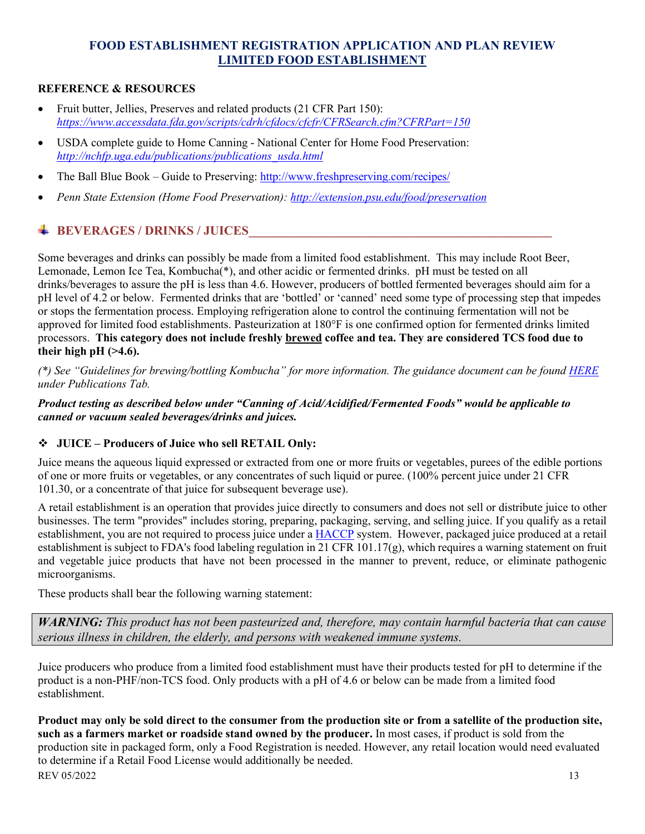#### **REFERENCE & RESOURCES**

- Fruit butter, Jellies, Preserves and related products (21 CFR Part 150): *https://www.accessdata[.fda.](https://www.accessdata.fda.gov/scripts/cdrh/cfdocs/cfcfr/CFRSearch.cfm?CFRPart=150)gov/scripts/cdrh/cfdocs/cfcfr/CFRSearch.cfm?CFRPart=150*
- USDA complete guide to Home Canning - [National Center for Home Food Preservation:](http://nchfp.uga.edu/how/can7_jam_jelly.html) *[http://nchfp.uga.edu/publications/publications\\_usda.html](http://nchfp.uga.edu/publications/publications_usda.html)*
- The Ball Blue Book Guide to Preserving:<http://www.freshpreserving.com/recipes/>
- *Penn State Extension (Home Food Preservation):<http://extension.psu.edu/food/preservation>*

# **BEVERAGES / DRINKS / JUICES**

Some beverages and drinks can possibly be made from a limited food establishment. This may include Root Beer, Lemonade, Lemon Ice Tea, Kombucha(\*), and other acidic or fermented drinks. pH must be tested on all drinks/beverages to assure the pH is less than 4.6. However, producers of bottled fermented beverages should aim for a pH level of 4.2 or below. Fermented drinks that are 'bottled' or 'canned' need some type of processing step that impedes or stops the fermentation process. Employing refrigeration alone to control the continuing fermentation will not be approved for limited food establishments. Pasteurization at 180°F is one confirmed option for fermented drinks limited processors. **This category does not include freshly brewed coffee and tea. They are considered TCS food due to**  their high  $pH$  ( $>4.6$ ).

*(\*) See "Guidelines for brewing/bottling Kombucha" for more information. The guidance document can be found [HERE](http://www.agriculture.pa.gov/consumer_protection/FoodSafety/manufacturing-packing-holding-distribution/Pages/Limited-Food-Establishment-.aspx) under Publications Tab.*

#### *Product testing as described below under "Canning of Acid/Acidified/Fermented Foods" would be applicable to canned or vacuum sealed beverages/drinks and juices.*

## **JUICE – Producers of Juice who sell RETAIL Only:**

Juice means the aqueous liquid expressed or extracted from one or more fruits or vegetables, purees of the edible portions of one or more fruits or vegetables, or any concentrates of such liquid or puree. (100% percent juice under 21 CFR 101.30, or a concentrate of that juice for subsequent beverage use).

A retail establishment is an operation that provides juice directly to consumers and does not sell or distribute juice to other businesses. The term "provides" includes storing, preparing, packaging, serving, and selling juice. If you qualify as a retail establishment, you are not required to process juice under a [HACCP](http://www.fda.gov/Food/GuidanceRegulation/HACCP/ucm2006803.htm) system. However, packaged juice produced at a retail establishment is subject to FDA's food labeling regulation in 21 CFR 101.17(g), which requires a warning statement on fruit and vegetable juice products that have not been processed in the manner to prevent, reduce, or eliminate pathogenic microorganisms.

These products shall bear the following warning statement:

*WARNING: This product has not been pasteurized and, therefore, may contain harmful bacteria that can cause serious illness in children, the elderly, and persons with weakened immune systems.* 

Juice producers who produce from a limited food establishment must have their products tested for pH to determine if the product is a non-PHF/non-TCS food. Only products with a pH of 4.6 or below can be made from a limited food establishment.

REV 05/2022 13 **Product may only be sold direct to the consumer from the production site or from a satellite of the production site, such as a farmers market or roadside stand owned by the producer.** In most cases, if product is sold from the production site in packaged form, only a Food Registration is needed. However, any retail location would need evaluated to determine if a Retail Food License would additionally be needed.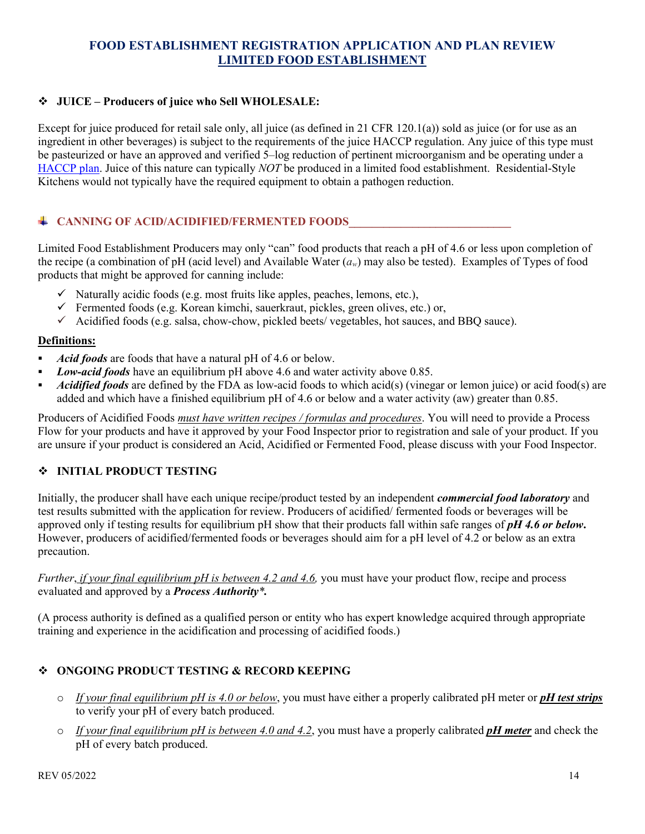#### **JUICE – Producers of juice who Sell WHOLESALE:**

Except for juice produced for retail sale only, all juice (as defined in 21 CFR 120.1(a)) sold as juice (or for use as an ingredient in other beverages) is subject to the requirements of the juice HACCP regulation. Any juice of this type must be pasteurized or have an approved and verified 5–log reduction of pertinent microorganism and be operating under a [HACCP plan.](http://www.fda.gov/Food/GuidanceRegulation/HACCP/ucm2006803.htm) Juice of this nature can typically *NOT* be produced in a limited food establishment. Residential-Style Kitchens would not typically have the required equipment to obtain a pathogen reduction.

#### $\blacklozenge$  CANNING OF ACID/ACIDIFIED/FERMENTED FOODS

Limited Food Establishment Producers may only "can" food products that reach a pH of 4.6 or less upon completion of the recipe (a combination of pH (acid level) and Available Water (*aw*) may also be tested). Examples of Types of food products that might be approved for canning include:

- $\checkmark$  Naturally acidic foods (e.g. most fruits like apples, peaches, lemons, etc.),
- $\checkmark$  Fermented foods (e.g. Korean kimchi, sauerkraut, pickles, green olives, etc.) or,
- $\checkmark$  Acidified foods (e.g. salsa, chow-chow, pickled beets/ vegetables, hot sauces, and BBQ sauce).

#### **Definitions:**

- *Acid foods* are foods that have a natural pH of 4.6 or below.
- *Low-acid foods* have an equilibrium pH above 4.6 and water activity above 0.85.
- *Acidified foods* are defined by the FDA as low-acid foods to which acid(s) (vinegar or lemon juice) or acid food(s) are added and which have a finished equilibrium pH of 4.6 or below and a water activity (aw) greater than 0.85.

Producers of Acidified Foods *must have written recipes / formulas and procedures*. You will need to provide a Process Flow for your products and have it approved by your Food Inspector prior to registration and sale of your product. If you are unsure if your product is considered an Acid, Acidified or Fermented Food, please discuss with your Food Inspector.

#### **INITIAL PRODUCT TESTING**

Initially, the producer shall have each unique recipe/product tested by an independent *commercial food laboratory* and test results submitted with the application for review. Producers of acidified/ fermented foods or beverages will be approved only if testing results for equilibrium pH show that their products fall within safe ranges of *pH 4.6 or below***.**  However, producers of acidified/fermented foods or beverages should aim for a pH level of 4.2 or below as an extra precaution.

*Further*, *if your final equilibrium pH is between 4.2 and 4.6,* you must have your product flow, recipe and process evaluated and approved by a *Process Authority\*.*

(A process authority is defined as a qualified person or entity who has expert knowledge acquired through appropriate training and experience in the acidification and processing of acidified foods.)

#### **ONGOING PRODUCT TESTING & RECORD KEEPING**

- o *If your final equilibrium pH is 4.0 or below*, you must have either a properly calibrated pH meter or *pH test strips* to verify your pH of every batch produced.
- o *If your final equilibrium pH is between 4.0 and 4.2*, you must have a properly calibrated *pH meter* and check the pH of every batch produced.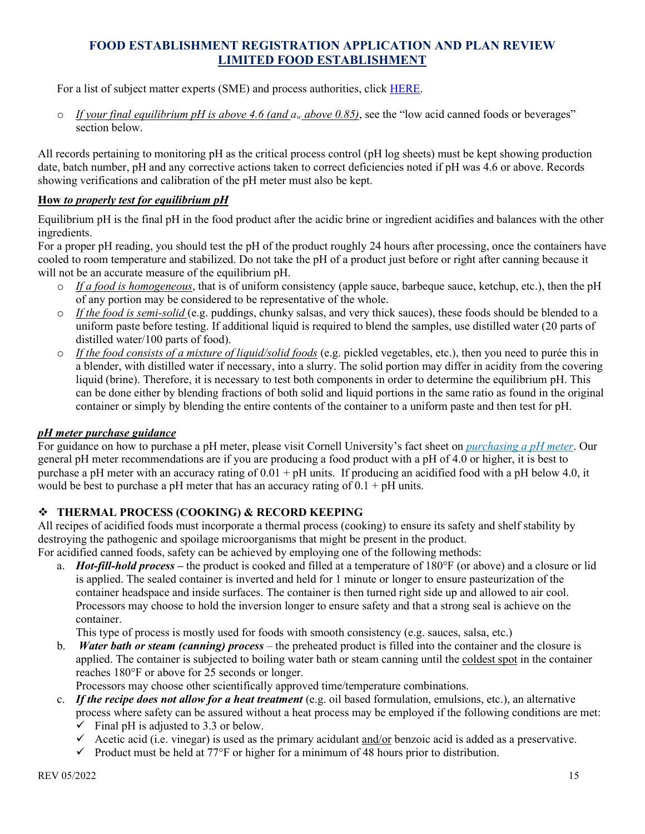For a list of subject matter experts (SME) and process authorities, click [HERE.](http://www.afdo.org/foodprocessing)

 $\circ$  *If your final equilibrium pH is above 4.6 (and*  $a_w$  *above 0.85)*, see the "low acid canned foods or beverages" section below.

All records pertaining to monitoring pH as the critical process control (pH log sheets) must be kept showing production date, batch number, pH and any corrective actions taken to correct deficiencies noted if pH was 4.6 or above. Records showing verifications and calibration of the pH meter must also be kept.

#### **How** *to properly test for equilibrium pH*

Equilibrium pH is the final pH in the food product after the acidic brine or ingredient acidifies and balances with the other ingredients.

For a proper pH reading, you should test the pH of the product roughly 24 hours after processing, once the containers have cooled to room temperature and stabilized. Do not take the pH of a product just before or right after canning because it will not be an accurate measure of the equilibrium pH.

- o *If a food is homogeneous*, that is of uniform consistency (apple sauce, barbeque sauce, ketchup, etc.), then the pH of any portion may be considered to be representative of the whole.
- o *If the food is semi-solid* (e.g. puddings, chunky salsas, and very thick sauces), these foods should be blended to a uniform paste before testing. If additional liquid is required to blend the samples, use distilled water (20 parts of distilled water/100 parts of food).
- o *If the food consists of a mixture of liquid/solid foods* (e.g. pickled vegetables, etc.), then you need to purée this in a blender, with distilled water if necessary, into a slurry. The solid portion may differ in acidity from the covering liquid (brine). Therefore, it is necessary to test both components in order to determine the equilibrium pH. This can be done either by blending fractions of both solid and liquid portions in the same ratio as found in the original container or simply by blending the entire contents of the container to a uniform paste and then test for pH.

#### *pH meter purchase guidance*

For guidance on how to purchase a pH meter, please visit Cornell University's fact sheet on *[purchasing a pH meter](http://necfe.foodscience.cals.cornell.edu/sites/necfe.foodscience.cals.cornell.edu/files/shared/documents/FS_Purchasing_pH_Meters.pdf)*. Our general pH meter recommendations are if you are producing a food product with a pH of 4.0 or higher, it is best to purchase a pH meter with an accuracy rating of  $0.01 + pH$  units. If producing an acidified food with a pH below 4.0, it would be best to purchase a pH meter that has an accuracy rating of  $0.1 + pH$  units.

## **THERMAL PROCESS (COOKING) & RECORD KEEPING**

All recipes of acidified foods must incorporate a thermal process (cooking) to ensure its safety and shelf stability by destroying the pathogenic and spoilage microorganisms that might be present in the product.

For acidified canned foods, safety can be achieved by employing one of the following methods:

a. *Hot-fill-hold process –* the product is cooked and filled at a temperature of 180°F (or above) and a closure or lid is applied. The sealed container is inverted and held for 1 minute or longer to ensure pasteurization of the container headspace and inside surfaces. The container is then turned right side up and allowed to air cool. Processors may choose to hold the inversion longer to ensure safety and that a strong seal is achieve on the container.

This type of process is mostly used for foods with smooth consistency (e.g. sauces, salsa, etc.)

b. *Water bath or steam (canning) process* – the preheated product is filled into the container and the closure is applied. The container is subjected to boiling water bath or steam canning until the coldest spot in the container reaches 180°F or above for 25 seconds or longer.

Processors may choose other scientifically approved time/temperature combinations.

- c. *If the recipe does not allow for a heat treatment* (e.g. oil based formulation, emulsions, etc.), an alternative process where safety can be assured without a heat process may be employed if the following conditions are met:  $\checkmark$  Final pH is adjusted to 3.3 or below.
	- Acetic acid (i.e. vinegar) is used as the primary acidulant and/or benzoic acid is added as a preservative.
	- $\checkmark$  Product must be held at 77 $\checkmark$  or higher for a minimum of 48 hours prior to distribution.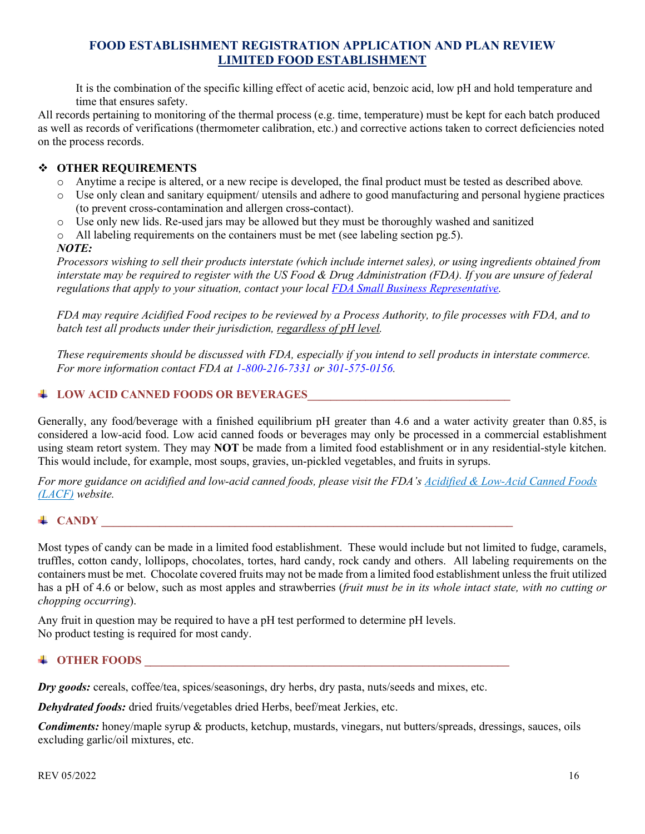It is the combination of the specific killing effect of acetic acid, benzoic acid, low pH and hold temperature and time that ensures safety.

All records pertaining to monitoring of the thermal process (e.g. time, temperature) must be kept for each batch produced as well as records of verifications (thermometer calibration, etc.) and corrective actions taken to correct deficiencies noted on the process records.

#### **OTHER REQUIREMENTS**

- o Anytime a recipe is altered, or a new recipe is developed, the final product must be tested as described above*.*
- o Use only clean and sanitary equipment/ utensils and adhere to good manufacturing and personal hygiene practices (to prevent cross-contamination and allergen cross-contact).
- o Use only new lids. Re-used jars may be allowed but they must be thoroughly washed and sanitized
- $\circ$  All labeling requirements on the containers must be met (see labeling section pg.5).

#### *NOTE:*

*Processors wishing to sell their products interstate (which include internet sales), or using ingredients obtained from interstate may be required to register with the US Food & Drug Administration (FDA). If you are unsure of federal regulations that apply to your situation, contact your local FDA [Small Business Representative.](http://www.fda.gov/ForIndustry/SmallBusinessAssistance/SmallBusinessRepresentatives/)* 

*FDA may require Acidified Food recipes to be reviewed by a Process Authority, to file processes with FDA, and to batch test all products under their jurisdiction, regardless of pH level.* 

*These requirements should be discussed with FDA, especially if you intend to sell products in interstate commerce. For more information contact FDA at 1-800-216-7331 or 301-575-0156.* 

#### $\textcolor{red}{\bigstar}$  LOW ACID CANNED FOODS OR BEVERAGES

Generally, any food/beverage with a finished equilibrium pH greater than 4.6 and a water activity greater than 0.85, is considered a low-acid food. Low acid canned foods or beverages may only be processed in a commercial establishment using steam retort system. They may **NOT** be made from a limited food establishment or in any residential-style kitchen. This would include, for example, most soups, gravies, un-pickled vegetables, and fruits in syrups.

*For more guidance on acidified and low-acid canned foods, please visit the FDA's Acidified [& Low-Acid Canned Foods](http://www.fda.gov/Food/GuidanceRegulation/GuidanceDocumentsRegulatoryInformation/AcidifiedLACF/default.htm)  [\(LACF\)](http://www.fda.gov/Food/GuidanceRegulation/GuidanceDocumentsRegulatoryInformation/AcidifiedLACF/default.htm) website.*

#### $\downarrow$  CANDY

Most types of candy can be made in a limited food establishment. These would include but not limited to fudge, caramels, truffles, cotton candy, lollipops, chocolates, tortes, hard candy, rock candy and others. All labeling requirements on the containers must be met. Chocolate covered fruits may not be made from a limited food establishment unless the fruit utilized has a pH of 4.6 or below, such as most apples and strawberries (*fruit must be in its whole intact state, with no cutting or chopping occurring*).

Any fruit in question may be required to have a pH test performed to determine pH levels. No product testing is required for most candy.

## $\downarrow$  OTHER FOODS

*Dry goods:* cereals, coffee/tea, spices/seasonings, dry herbs, dry pasta, nuts/seeds and mixes, etc.

*Dehydrated foods:* dried fruits/vegetables dried Herbs, beef/meat Jerkies, etc.

*Condiments:* honey/maple syrup & products, ketchup, mustards, vinegars, nut butters/spreads, dressings, sauces, oils excluding garlic/oil mixtures, etc.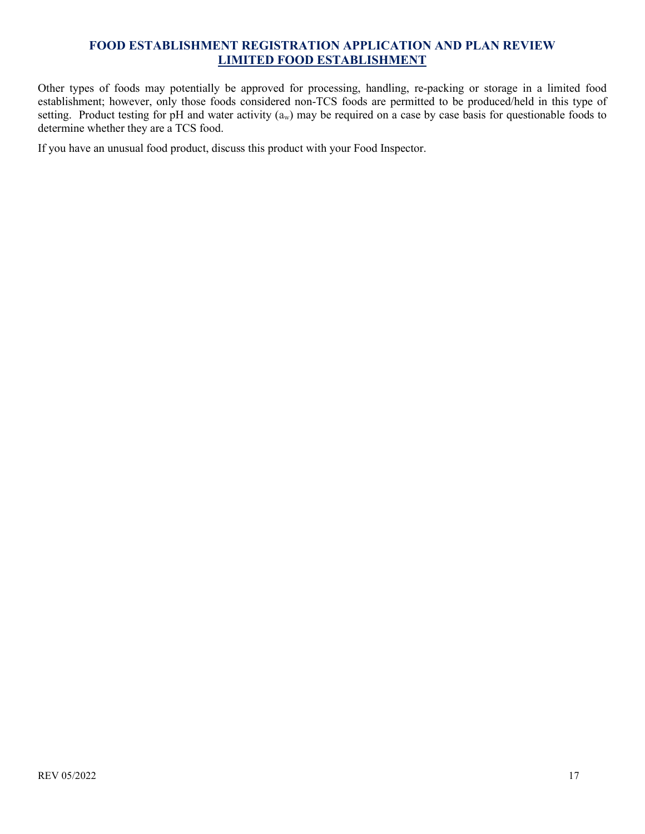Other types of foods may potentially be approved for processing, handling, re-packing or storage in a limited food establishment; however, only those foods considered non-TCS foods are permitted to be produced/held in this type of setting. Product testing for pH and water activity  $(a_w)$  may be required on a case by case basis for questionable foods to determine whether they are a TCS food.

If you have an unusual food product, discuss this product with your Food Inspector.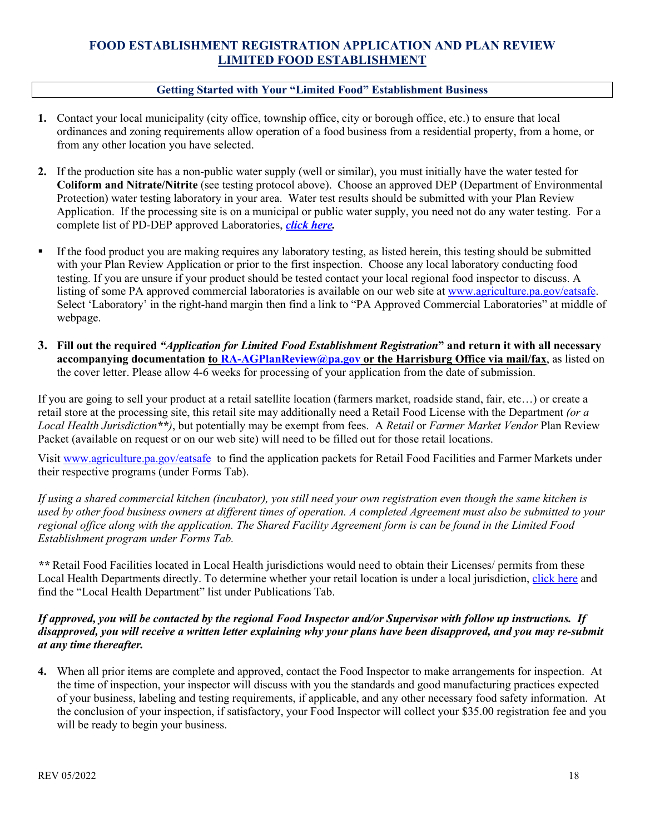#### **Getting Started with Your "Limited Food" Establishment Business**

- **1.** Contact your local municipality (city office, township office, city or borough office, etc.) to ensure that local ordinances and zoning requirements allow operation of a food business from a residential property, from a home, or from any other location you have selected.
- **2.** If the production site has a non-public water supply (well or similar), you must initially have the water tested for **Coliform and Nitrate/Nitrite** (see testing protocol above). Choose an approved DEP (Department of Environmental Protection) water testing laboratory in your area. Water test results should be submitted with your Plan Review Application. If the processing site is on a municipal or public water supply, you need not do any water testing. For a complete list of PD-DEP approved Laboratories, *[click here.](http://www.water-research.net/pdf/certifiedlabspa.pdf)*
- If the food product you are making requires any laboratory testing, as listed herein, this testing should be submitted with your Plan Review Application or prior to the first inspection. Choose any local laboratory conducting food testing. If you are unsure if your product should be tested contact your local regional food inspector to discuss. A listing of some PA approved commercial laboratories is available on our web site at [www.agriculture.pa.gov/eatsafe.](http://www.agriculture.pa.gov/eatsafe) Select 'Laboratory' in the right-hand margin then find a link to "PA Approved Commercial Laboratories" at middle of webpage.
- **3. Fill out the required** *"Application for Limited Food Establishment Registration***" and return it with all necessary accompanying documentation to [RA-AGPlanReview@pa.gov](mailto:RA-AGPLANREVIEW@pa.gov) or the Harrisburg Office via mail/fax**, as listed on the cover letter. Please allow 4-6 weeks for processing of your application from the date of submission.

If you are going to sell your product at a retail satellite location (farmers market, roadside stand, fair, etc…) or create a retail store at the processing site, this retail site may additionally need a Retail Food License with the Department *(or a Local Health Jurisdiction\*\*)*, but potentially may be exempt from fees. A *Retail* or *Farmer Market Vendor* Plan Review Packet (available on request or on our web site) will need to be filled out for those retail locations.

Visit [www.agriculture.pa.gov/eatsafe](http://www.agriculture.pa.gov/eatsafe) to find the application packets for Retail Food Facilities and Farmer Markets under their respective programs (under Forms Tab).

*If using a shared commercial kitchen (incubator), you still need your own registration even though the same kitchen is used by other food business owners at different times of operation. A completed Agreement must also be submitted to your regional office along with the application. The Shared Facility Agreement form is can be found in the Limited Food Establishment program under Forms Tab.* 

*\*\** Retail Food Facilities located in Local Health jurisdictions would need to obtain their Licenses/ permits from these Local Health Departments directly. To determine whether your retail location is under a local jurisdiction, [click here](http://www.agriculture.pa.gov/consumer_protection/FoodSafety/retail-food-inspection-reports/Pages/default.aspx) and find the "Local Health Department" list under Publications Tab.

#### *If approved, you will be contacted by the regional Food Inspector and/or Supervisor with follow up instructions. If disapproved, you will receive a written letter explaining why your plans have been disapproved, and you may re-submit at any time thereafter.*

**4.** When all prior items are complete and approved, contact the Food Inspector to make arrangements for inspection. At the time of inspection, your inspector will discuss with you the standards and good manufacturing practices expected of your business, labeling and testing requirements, if applicable, and any other necessary food safety information. At the conclusion of your inspection, if satisfactory, your Food Inspector will collect your \$35.00 registration fee and you will be ready to begin your business.